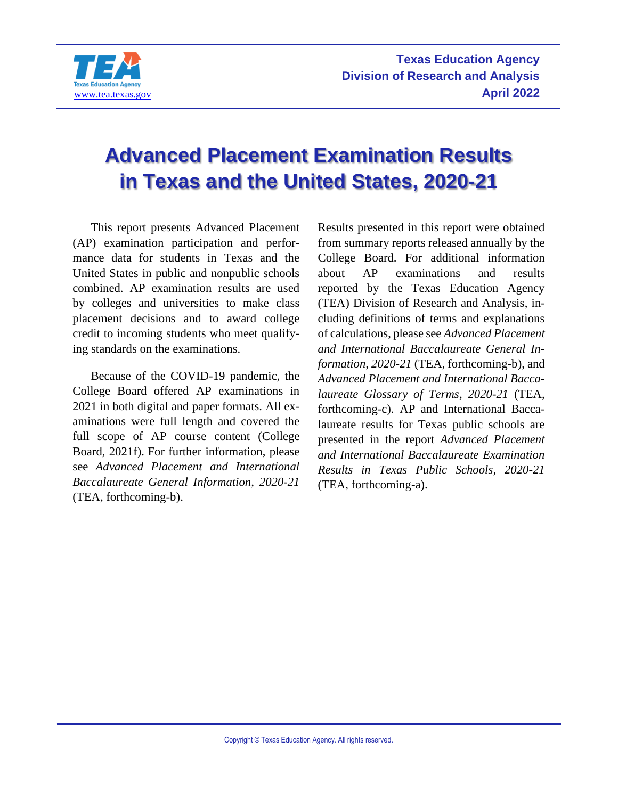

# **Advanced Placement Examination Results in Texas and the United States, 2020-21**

This report presents Advanced Placement (AP) examination participation and performance data for students in Texas and the United States in public and nonpublic schools combined. AP examination results are used by colleges and universities to make class placement decisions and to award college credit to incoming students who meet qualifying standards on the examinations.

Because of the COVID-19 pandemic, the College Board offered AP examinations in 2021 in both digital and paper formats. All examinations were full length and covered the full scope of AP course content (College Board, 2021f). For further information, please see *Advanced Placement and International Baccalaureate General Information, 2020-21* (TEA, forthcoming-b).

Results presented in this report were obtained from summary reports released annually by the College Board. For additional information about AP examinations and results reported by the Texas Education Agency (TEA) Division of Research and Analysis, including definitions of terms and explanations of calculations, please see *Advanced Placement and International Baccalaureate General Information, 2020-21* (TEA, forthcoming-b), and *Advanced Placement and International Baccalaureate Glossary of Terms, 2020-21* (TEA, forthcoming-c). AP and International Baccalaureate results for Texas public schools are presented in the report *Advanced Placement and International Baccalaureate Examination Results in Texas Public Schools, 2020-21* (TEA, forthcoming-a).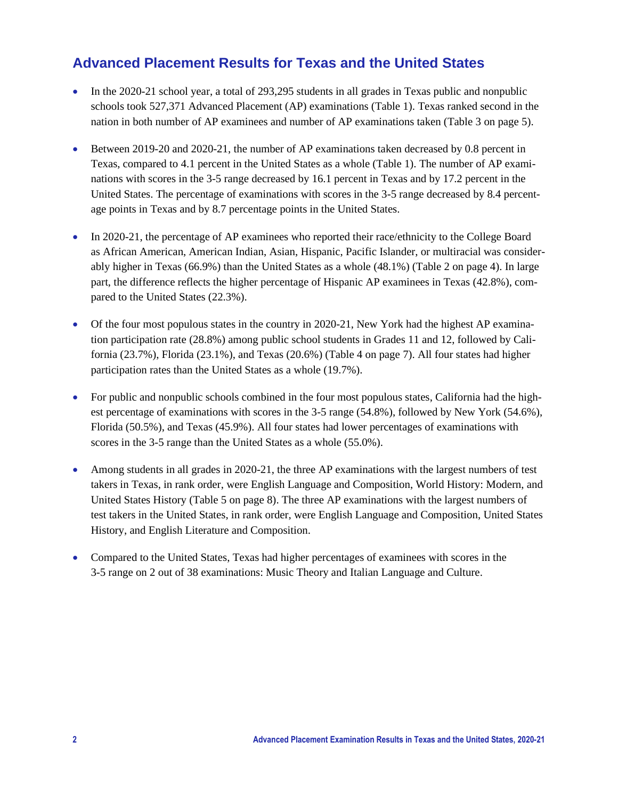## **Advanced Placement Results for Texas and the United States**

- In the 2020-21 school year, a total of 293,295 students in all grades in Texas public and nonpublic schools took 527,371 Advanced Placement (AP) examinations (Table 1). Texas ranked second in the nation in both number of AP examinees and number of AP examinations taken (Table 3 on page 5).
- Between 2019-20 and 2020-21, the number of AP examinations taken decreased by 0.8 percent in Texas, compared to 4.1 percent in the United States as a whole (Table 1). The number of AP examinations with scores in the 3-5 range decreased by 16.1 percent in Texas and by 17.2 percent in the United States. The percentage of examinations with scores in the 3-5 range decreased by 8.4 percentage points in Texas and by 8.7 percentage points in the United States.
- In 2020-21, the percentage of AP examinees who reported their race/ethnicity to the College Board as African American, American Indian, Asian, Hispanic, Pacific Islander, or multiracial was considerably higher in Texas (66.9%) than the United States as a whole (48.1%) (Table 2 on page 4). In large part, the difference reflects the higher percentage of Hispanic AP examinees in Texas (42.8%), compared to the United States (22.3%).
- Of the four most populous states in the country in 2020-21, New York had the highest AP examination participation rate (28.8%) among public school students in Grades 11 and 12, followed by California (23.7%), Florida (23.1%), and Texas (20.6%) (Table 4 on page 7). All four states had higher participation rates than the United States as a whole (19.7%).
- For public and nonpublic schools combined in the four most populous states, California had the highest percentage of examinations with scores in the 3-5 range (54.8%), followed by New York (54.6%), Florida (50.5%), and Texas (45.9%). All four states had lower percentages of examinations with scores in the 3-5 range than the United States as a whole (55.0%).
- Among students in all grades in 2020-21, the three AP examinations with the largest numbers of test takers in Texas, in rank order, were English Language and Composition, World History: Modern, and United States History (Table 5 on page 8). The three AP examinations with the largest numbers of test takers in the United States, in rank order, were English Language and Composition, United States History, and English Literature and Composition.
- Compared to the United States, Texas had higher percentages of examinees with scores in the 3-5 range on 2 out of 38 examinations: Music Theory and Italian Language and Culture.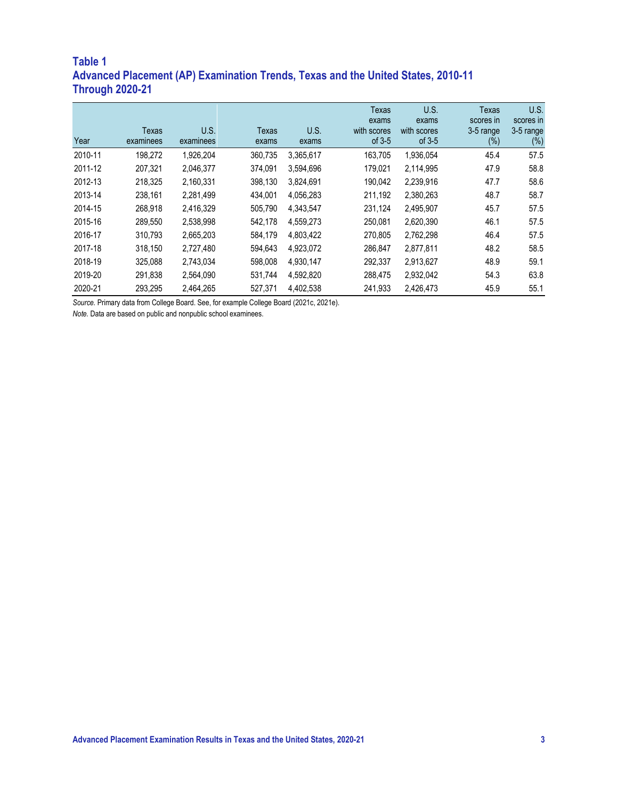## **Table 1 Advanced Placement (AP) Examination Trends, Texas and the United States, 2010-11 Through 2020-21**

|         |                    |                   |                       |               | <b>Texas</b><br>exams   | U.S.<br>exams           | <b>Texas</b><br>scores in | U.S.<br>scores in   |
|---------|--------------------|-------------------|-----------------------|---------------|-------------------------|-------------------------|---------------------------|---------------------|
| Year    | Texas<br>examinees | U.S.<br>examinees | <b>Texas</b><br>exams | U.S.<br>exams | with scores<br>of $3-5$ | with scores<br>of $3-5$ | 3-5 range<br>$(\%)$       | 3-5 range<br>$(\%)$ |
| 2010-11 | 198.272            | 1,926,204         | 360.735               | 3,365,617     | 163,705                 | 1,936,054               | 45.4                      | 57.5                |
| 2011-12 | 207,321            | 2,046,377         | 374,091               | 3,594,696     | 179,021                 | 2,114,995               | 47.9                      | 58.8                |
| 2012-13 | 218.325            | 2,160,331         | 398,130               | 3.824.691     | 190,042                 | 2,239,916               | 47.7                      | 58.6                |
| 2013-14 | 238,161            | 2,281,499         | 434.001               | 4,056,283     | 211,192                 | 2,380,263               | 48.7                      | 58.7                |
| 2014-15 | 268,918            | 2,416,329         | 505,790               | 4.343.547     | 231,124                 | 2,495,907               | 45.7                      | 57.5                |
| 2015-16 | 289.550            | 2,538,998         | 542.178               | 4,559,273     | 250.081                 | 2,620,390               | 46.1                      | 57.5                |
| 2016-17 | 310,793            | 2,665,203         | 584,179               | 4,803,422     | 270,805                 | 2,762,298               | 46.4                      | 57.5                |
| 2017-18 | 318,150            | 2,727,480         | 594,643               | 4,923,072     | 286,847                 | 2,877,811               | 48.2                      | 58.5                |
| 2018-19 | 325,088            | 2,743,034         | 598.008               | 4.930.147     | 292,337                 | 2.913.627               | 48.9                      | 59.1                |
| 2019-20 | 291.838            | 2,564,090         | 531.744               | 4,592,820     | 288,475                 | 2.932.042               | 54.3                      | 63.8                |
| 2020-21 | 293.295            | 2.464.265         | 527.371               | 4,402,538     | 241,933                 | 2,426,473               | 45.9                      | 55.1                |

*Source.* Primary data from College Board. See, for example College Board (2021c, 2021e).

*Note.* Data are based on public and nonpublic school examinees.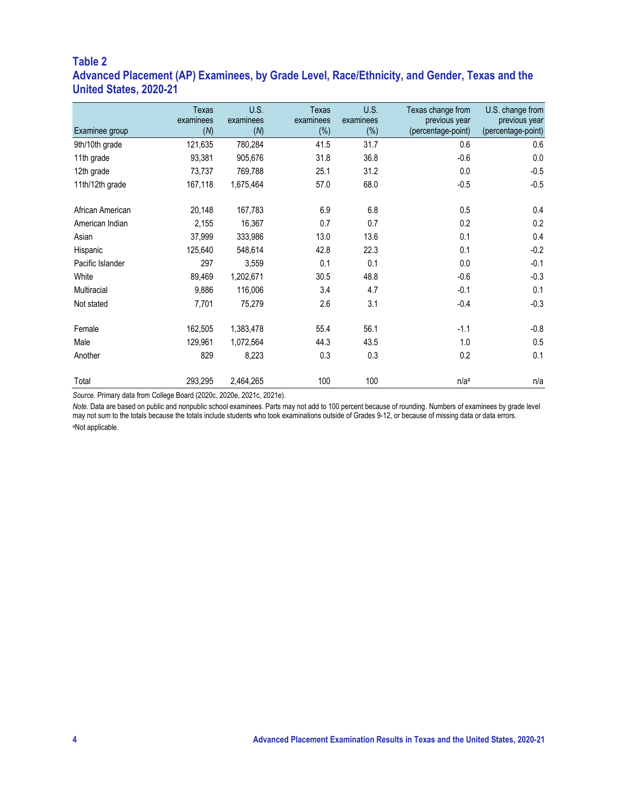#### **Table 2 Advanced Placement (AP) Examinees, by Grade Level, Race/Ethnicity, and Gender, Texas and the United States, 2020-21**

| Examinee group   | Texas<br>examinees<br>(M) | U.S.<br>examinees<br>(M) | Texas<br>examinees<br>$(\%)$ | <b>U.S.</b><br>examinees<br>(%) | Texas change from<br>previous year<br>(percentage-point) | U.S. change from<br>previous year<br>(percentage-point) |
|------------------|---------------------------|--------------------------|------------------------------|---------------------------------|----------------------------------------------------------|---------------------------------------------------------|
| 9th/10th grade   | 121,635                   | 780,284                  | 41.5                         | 31.7                            | 0.6                                                      | 0.6                                                     |
| 11th grade       | 93,381                    | 905,676                  | 31.8                         | 36.8                            | $-0.6$                                                   | 0.0                                                     |
| 12th grade       | 73,737                    | 769,788                  | 25.1                         | 31.2                            | 0.0                                                      | $-0.5$                                                  |
| 11th/12th grade  | 167,118                   | 1,675,464                | 57.0                         | 68.0                            | $-0.5$                                                   | $-0.5$                                                  |
| African American | 20,148                    | 167,783                  | 6.9                          | 6.8                             | 0.5                                                      | 0.4                                                     |
| American Indian  | 2,155                     | 16,367                   | 0.7                          | 0.7                             | 0.2                                                      | 0.2                                                     |
| Asian            | 37,999                    | 333,986                  | 13.0                         | 13.6                            | 0.1                                                      | 0.4                                                     |
| Hispanic         | 125,640                   | 548,614                  | 42.8                         | 22.3                            | 0.1                                                      | $-0.2$                                                  |
| Pacific Islander | 297                       | 3,559                    | 0.1                          | 0.1                             | 0.0                                                      | $-0.1$                                                  |
| White            | 89,469                    | 1,202,671                | 30.5                         | 48.8                            | $-0.6$                                                   | $-0.3$                                                  |
| Multiracial      | 9,886                     | 116,006                  | 3.4                          | 4.7                             | $-0.1$                                                   | 0.1                                                     |
| Not stated       | 7,701                     | 75,279                   | 2.6                          | 3.1                             | $-0.4$                                                   | $-0.3$                                                  |
| Female           | 162,505                   | 1,383,478                | 55.4                         | 56.1                            | $-1.1$                                                   | $-0.8$                                                  |
| Male             | 129,961                   | 1,072,564                | 44.3                         | 43.5                            | 1.0                                                      | 0.5                                                     |
| Another          | 829                       | 8,223                    | 0.3                          | 0.3                             | 0.2                                                      | 0.1                                                     |
| Total            | 293,295                   | 2,464,265                | 100                          | 100                             | n/a <sup>a</sup>                                         | n/a                                                     |

*Source.* Primary data from College Board (2020c, 2020e, 2021c, 2021e).

*Note.* Data are based on public and nonpublic school examinees. Parts may not add to 100 percent because of rounding. Numbers of examinees by grade level may not sum to the totals because the totals include students who took examinations outside of Grades 9-12, or because of missing data or data errors. aNot applicable.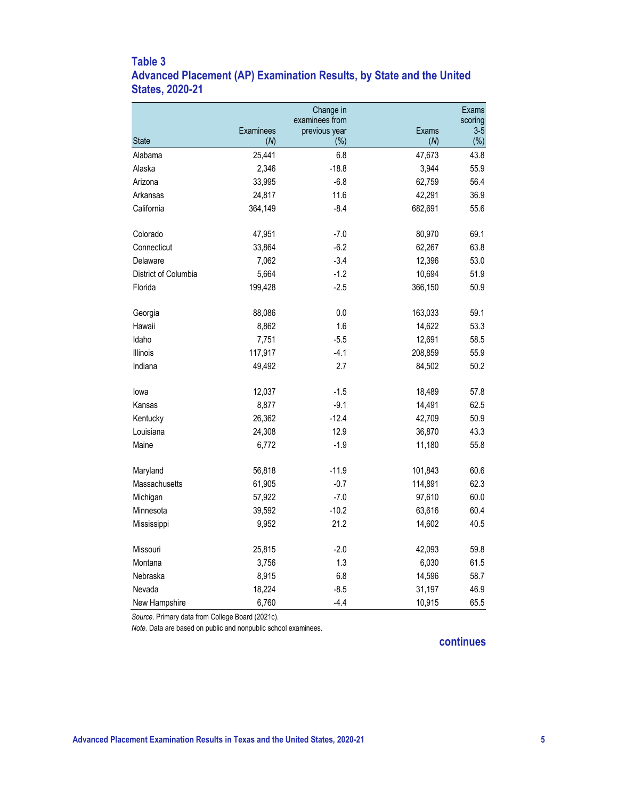### **Table 3 Advanced Placement (AP) Examination Results, by State and the United States, 2020-21**

|                      |           | Change in<br>examinees from |         | Exams<br>scoring |
|----------------------|-----------|-----------------------------|---------|------------------|
|                      | Examinees | previous year               | Exams   | $3-5$            |
| <b>State</b>         | (M)       | (%)                         | (M)     | $(\%)$           |
| Alabama              | 25,441    | 6.8                         | 47,673  | 43.8             |
| Alaska               | 2,346     | $-18.8$                     | 3,944   | 55.9             |
| Arizona              | 33,995    | $-6.8$                      | 62,759  | 56.4             |
| Arkansas             | 24,817    | 11.6                        | 42,291  | 36.9             |
| California           | 364,149   | $-8.4$                      | 682,691 | 55.6             |
| Colorado             | 47,951    | $-7.0$                      | 80,970  | 69.1             |
| Connecticut          | 33,864    | $-6.2$                      | 62,267  | 63.8             |
| Delaware             | 7,062     | $-3.4$                      | 12,396  | 53.0             |
| District of Columbia | 5,664     | $-1.2$                      | 10,694  | 51.9             |
| Florida              | 199,428   | $-2.5$                      | 366,150 | 50.9             |
|                      |           |                             |         |                  |
| Georgia              | 88,086    | 0.0                         | 163,033 | 59.1             |
| Hawaii               | 8,862     | 1.6                         | 14,622  | 53.3             |
| Idaho                | 7,751     | $-5.5$                      | 12,691  | 58.5             |
| <b>Illinois</b>      | 117,917   | $-4.1$                      | 208,859 | 55.9             |
| Indiana              | 49,492    | 2.7                         | 84,502  | 50.2             |
| lowa                 | 12,037    | $-1.5$                      | 18,489  | 57.8             |
| Kansas               | 8,877     | $-9.1$                      | 14,491  | 62.5             |
| Kentucky             | 26,362    | $-12.4$                     | 42,709  | 50.9             |
| Louisiana            | 24,308    | 12.9                        | 36,870  | 43.3             |
| Maine                | 6,772     | $-1.9$                      | 11,180  | 55.8             |
| Maryland             | 56,818    | $-11.9$                     | 101,843 | 60.6             |
| Massachusetts        | 61,905    | $-0.7$                      | 114,891 | 62.3             |
| Michigan             | 57,922    | $-7.0$                      | 97,610  | 60.0             |
| Minnesota            | 39,592    | $-10.2$                     | 63,616  | 60.4             |
| Mississippi          | 9,952     | 21.2                        | 14,602  | 40.5             |
| Missouri             | 25,815    | $-2.0$                      | 42,093  | 59.8             |
| Montana              | 3,756     | 1.3                         | 6,030   | 61.5             |
| Nebraska             | 8,915     | 6.8                         | 14,596  | 58.7             |
| Nevada               | 18,224    | $-8.5$                      | 31,197  | 46.9             |
| New Hampshire        | 6,760     | $-4.4$                      | 10,915  | 65.5             |
|                      |           |                             |         |                  |

*Source.* Primary data from College Board (2021c).

*Note.* Data are based on public and nonpublic school examinees.

#### **continues**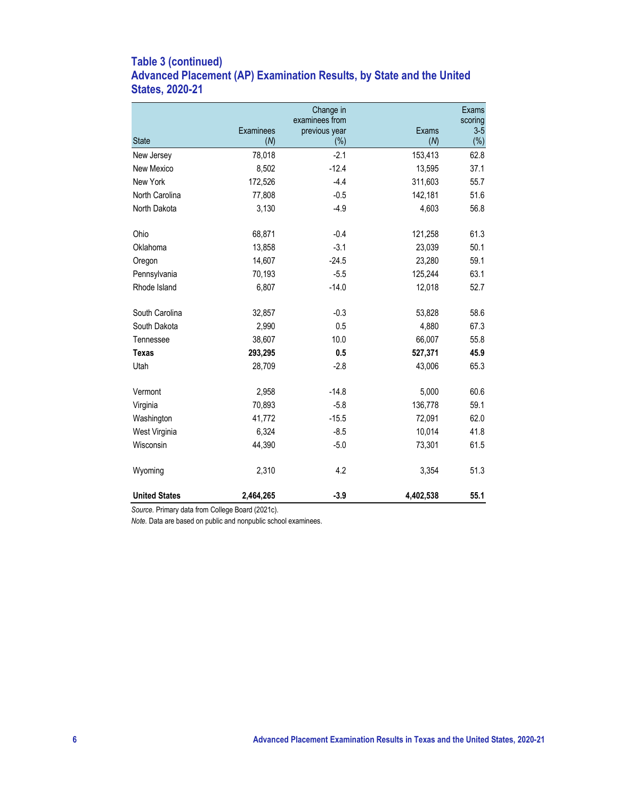## **Table 3 (continued) Advanced Placement (AP) Examination Results, by State and the United States, 2020-21**

|                      |           | Change in                       |           | Exams            |
|----------------------|-----------|---------------------------------|-----------|------------------|
|                      | Examinees | examinees from<br>previous year | Exams     | scoring<br>$3-5$ |
| <b>State</b>         | (M)       | (% )                            | (M)       | $(\%)$           |
| New Jersey           | 78,018    | $-2.1$                          | 153,413   | 62.8             |
| New Mexico           | 8,502     | $-12.4$                         | 13,595    | 37.1             |
| New York             | 172,526   | $-4.4$                          | 311,603   | 55.7             |
| North Carolina       | 77,808    | $-0.5$                          | 142,181   | 51.6             |
| North Dakota         | 3,130     | $-4.9$                          | 4,603     | 56.8             |
| Ohio                 | 68,871    | $-0.4$                          | 121,258   | 61.3             |
| Oklahoma             | 13,858    | $-3.1$                          | 23,039    | 50.1             |
| Oregon               | 14,607    | $-24.5$                         | 23,280    | 59.1             |
| Pennsylvania         | 70,193    | $-5.5$                          | 125,244   | 63.1             |
| Rhode Island         | 6,807     | $-14.0$                         | 12,018    | 52.7             |
| South Carolina       | 32,857    | $-0.3$                          | 53,828    | 58.6             |
| South Dakota         | 2,990     | 0.5                             | 4,880     | 67.3             |
| Tennessee            | 38,607    | 10.0                            | 66,007    | 55.8             |
| <b>Texas</b>         | 293,295   | 0.5                             | 527,371   | 45.9             |
| Utah                 | 28,709    | $-2.8$                          | 43,006    | 65.3             |
| Vermont              | 2,958     | $-14.8$                         | 5,000     | 60.6             |
| Virginia             | 70,893    | $-5.8$                          | 136,778   | 59.1             |
| Washington           | 41,772    | $-15.5$                         | 72,091    | 62.0             |
| West Virginia        | 6,324     | $-8.5$                          | 10,014    | 41.8             |
| Wisconsin            | 44,390    | $-5.0$                          | 73,301    | 61.5             |
| Wyoming              | 2,310     | 4.2                             | 3,354     | 51.3             |
| <b>United States</b> | 2,464,265 | $-3.9$                          | 4,402,538 | 55.1             |

*Source.* Primary data from College Board (2021c).

*Note.* Data are based on public and nonpublic school examinees.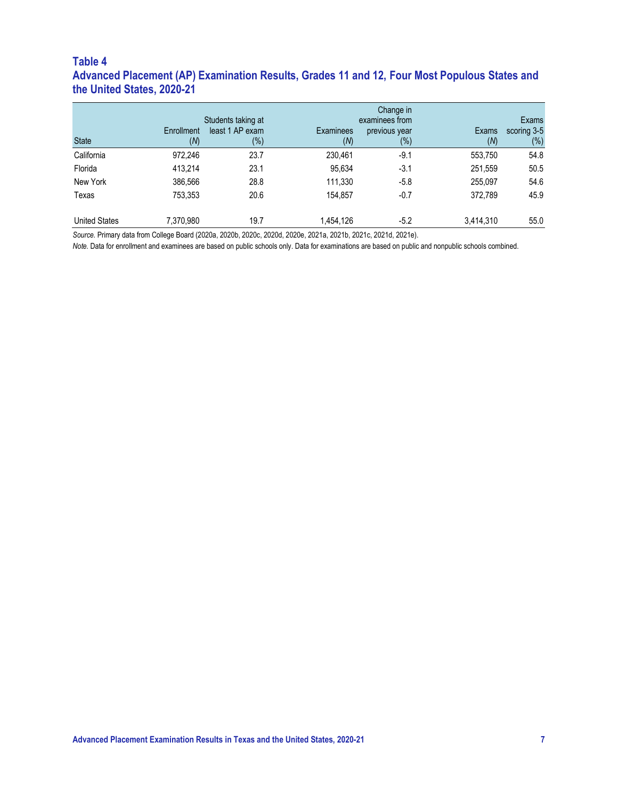#### **Table 4 Advanced Placement (AP) Examination Results, Grades 11 and 12, Four Most Populous States and the United States, 2020-21**

|                      |            | Change in          |           |                |           |             |  |  |  |  |
|----------------------|------------|--------------------|-----------|----------------|-----------|-------------|--|--|--|--|
|                      |            | Students taking at |           | examinees from |           | Exams       |  |  |  |  |
|                      | Enrollment | least 1 AP exam    | Examinees | previous year  | Exams     | scoring 3-5 |  |  |  |  |
| <b>State</b>         | (M)        | (%)                | (M)       | $(\%)$         | (M)       | $(\%)$      |  |  |  |  |
| California           | 972,246    | 23.7               | 230,461   | $-9.1$         | 553,750   | 54.8        |  |  |  |  |
| Florida              | 413.214    | 23.1               | 95,634    | $-3.1$         | 251,559   | 50.5        |  |  |  |  |
| New York             | 386,566    | 28.8               | 111,330   | $-5.8$         | 255.097   | 54.6        |  |  |  |  |
| Texas                | 753,353    | 20.6               | 154,857   | $-0.7$         | 372.789   | 45.9        |  |  |  |  |
| <b>United States</b> | 7,370,980  | 19.7               | 1,454,126 | $-5.2$         | 3,414,310 | 55.0        |  |  |  |  |

*Source.* Primary data from College Board (2020a, 2020b, 2020c, 2020d, 2020e, 2021a, 2021b, 2021c, 2021d, 2021e).

*Note.* Data for enrollment and examinees are based on public schools only. Data for examinations are based on public and nonpublic schools combined.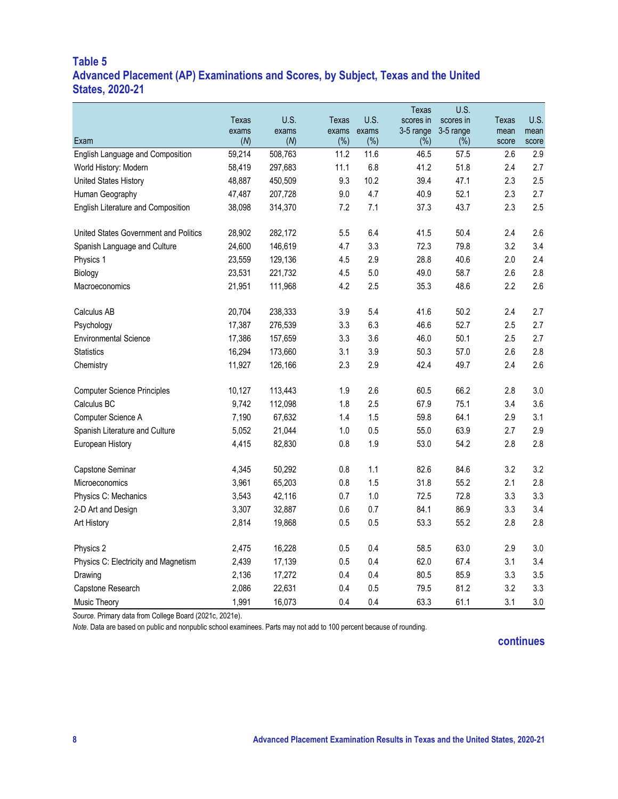#### **Table 5 Advanced Placement (AP) Examinations and Scores, by Subject, Texas and the United States, 2020-21**

|                                       |              |              |              |              | <b>Texas</b>        | U.S.             |               |               |
|---------------------------------------|--------------|--------------|--------------|--------------|---------------------|------------------|---------------|---------------|
|                                       | Texas        | U.S.         | Texas        | U.S.         | scores in           | scores in        | Texas         | U.S.          |
| Exam                                  | exams<br>(M) | exams<br>(M) | exams<br>(%) | exams<br>(%) | 3-5 range<br>$(\%)$ | 3-5 range<br>(%) | mean<br>score | mean<br>score |
| English Language and Composition      | 59,214       | 508,763      | 11.2         | 11.6         | 46.5                | 57.5             | 2.6           | 2.9           |
| World History: Modern                 | 58,419       | 297,683      | 11.1         | 6.8          | 41.2                | 51.8             | 2.4           | 2.7           |
| United States History                 | 48,887       | 450,509      | 9.3          | 10.2         | 39.4                | 47.1             | 2.3           | 2.5           |
| Human Geography                       | 47,487       | 207,728      | 9.0          | 4.7          | 40.9                | 52.1             | 2.3           | 2.7           |
| English Literature and Composition    | 38,098       | 314,370      | 7.2          | 7.1          | 37.3                | 43.7             | 2.3           | 2.5           |
| United States Government and Politics | 28,902       | 282,172      | 5.5          | 6.4          | 41.5                | 50.4             | 2.4           | 2.6           |
| Spanish Language and Culture          | 24,600       | 146,619      | 4.7          | 3.3          | 72.3                | 79.8             | 3.2           | 3.4           |
| Physics 1                             | 23,559       | 129,136      | 4.5          | 2.9          | 28.8                | 40.6             | 2.0           | 2.4           |
| Biology                               | 23,531       | 221,732      | 4.5          | 5.0          | 49.0                | 58.7             | 2.6           | 2.8           |
| Macroeconomics                        | 21,951       | 111,968      | 4.2          | 2.5          | 35.3                | 48.6             | 2.2           | 2.6           |
| Calculus AB                           | 20,704       | 238,333      | 3.9          | 5.4          | 41.6                | 50.2             | 2.4           | 2.7           |
| Psychology                            | 17,387       | 276,539      | 3.3          | 6.3          | 46.6                | 52.7             | 2.5           | 2.7           |
| <b>Environmental Science</b>          | 17,386       | 157,659      | 3.3          | 3.6          | 46.0                | 50.1             | 2.5           | 2.7           |
| <b>Statistics</b>                     | 16,294       | 173,660      | 3.1          | 3.9          | 50.3                | 57.0             | 2.6           | 2.8           |
| Chemistry                             | 11,927       | 126,166      | 2.3          | 2.9          | 42.4                | 49.7             | 2.4           | 2.6           |
| <b>Computer Science Principles</b>    | 10,127       | 113,443      | 1.9          | 2.6          | 60.5                | 66.2             | 2.8           | 3.0           |
| Calculus BC                           | 9,742        | 112,098      | 1.8          | 2.5          | 67.9                | 75.1             | 3.4           | 3.6           |
| Computer Science A                    | 7,190        | 67,632       | 1.4          | 1.5          | 59.8                | 64.1             | 2.9           | 3.1           |
| Spanish Literature and Culture        | 5,052        | 21,044       | 1.0          | 0.5          | 55.0                | 63.9             | 2.7           | 2.9           |
| European History                      | 4,415        | 82,830       | 0.8          | 1.9          | 53.0                | 54.2             | 2.8           | 2.8           |
| Capstone Seminar                      | 4,345        | 50,292       | 0.8          | 1.1          | 82.6                | 84.6             | 3.2           | 3.2           |
| Microeconomics                        | 3,961        | 65,203       | 0.8          | 1.5          | 31.8                | 55.2             | 2.1           | 2.8           |
| Physics C: Mechanics                  | 3,543        | 42,116       | 0.7          | 1.0          | 72.5                | 72.8             | 3.3           | 3.3           |
| 2-D Art and Design                    | 3,307        | 32,887       | 0.6          | 0.7          | 84.1                | 86.9             | 3.3           | 3.4           |
| Art History                           | 2,814        | 19,868       | 0.5          | 0.5          | 53.3                | 55.2             | 2.8           | 2.8           |
| Physics 2                             | 2,475        | 16,228       | 0.5          | 0.4          | 58.5                | 63.0             | 2.9           | 3.0           |
| Physics C: Electricity and Magnetism  | 2,439        | 17,139       | 0.5          | 0.4          | 62.0                | 67.4             | 3.1           | 3.4           |
| Drawing                               | 2,136        | 17,272       | 0.4          | 0.4          | 80.5                | 85.9             | 3.3           | 3.5           |
| Capstone Research                     | 2,086        | 22,631       | 0.4          | 0.5          | 79.5                | 81.2             | 3.2           | 3.3           |
| Music Theory                          | 1,991        | 16,073       | 0.4          | 0.4          | 63.3                | 61.1             | 3.1           | 3.0           |

*Source.* Primary data from College Board (2021c, 2021e).

*Note.* Data are based on public and nonpublic school examinees. Parts may not add to 100 percent because of rounding.

#### **continues**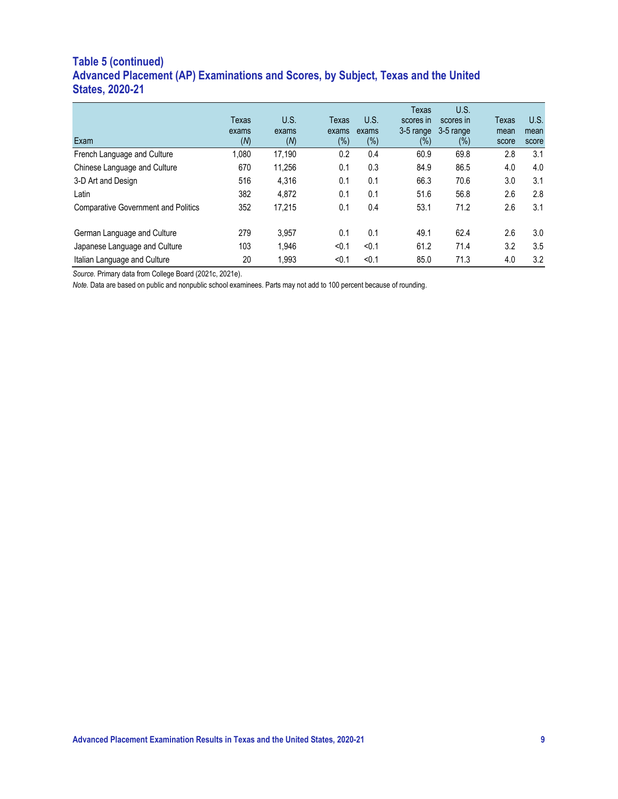## **Table 5 (continued) Advanced Placement (AP) Examinations and Scores, by Subject, Texas and the United States, 2020-21**

| Exam                                       | Texas<br>exams<br>(M) | U.S.<br>exams<br>(M) | Texas<br>exams<br>(%) | U.S.<br>exams<br>$(\%)$ | Texas<br>scores in<br>3-5 range<br>$(\%)$ | U.S.<br>scores in<br>3-5 range<br>$(\%)$ | Texas<br>mean<br>score | U.S.<br>mean<br>score |
|--------------------------------------------|-----------------------|----------------------|-----------------------|-------------------------|-------------------------------------------|------------------------------------------|------------------------|-----------------------|
| French Language and Culture                | 1,080                 | 17,190               | 0.2                   | 0.4                     | 60.9                                      | 69.8                                     | 2.8                    | 3.1                   |
| Chinese Language and Culture               | 670                   | 11.256               | 0.1                   | 0.3                     | 84.9                                      | 86.5                                     | 4.0                    | 4.0                   |
| 3-D Art and Design                         | 516                   | 4.316                | 0.1                   | 0.1                     | 66.3                                      | 70.6                                     | 3.0                    | 3.1                   |
| Latin                                      | 382                   | 4.872                | 0.1                   | 0.1                     | 51.6                                      | 56.8                                     | 2.6                    | 2.8                   |
| <b>Comparative Government and Politics</b> | 352                   | 17.215               | 0.1                   | 0.4                     | 53.1                                      | 71.2                                     | 2.6                    | 3.1                   |
| German Language and Culture                | 279                   | 3.957                | 0.1                   | 0.1                     | 49.1                                      | 62.4                                     | 2.6                    | 3.0                   |
| Japanese Language and Culture              | 103                   | 1.946                | < 0.1                 | < 0.1                   | 61.2                                      | 71.4                                     | 3.2                    | 3.5                   |
| Italian Language and Culture               | 20                    | 1.993                | < 0.1                 | < 0.1                   | 85.0                                      | 71.3                                     | 4.0                    | 3.2                   |

*Source.* Primary data from College Board (2021c, 2021e).

*Note.* Data are based on public and nonpublic school examinees. Parts may not add to 100 percent because of rounding.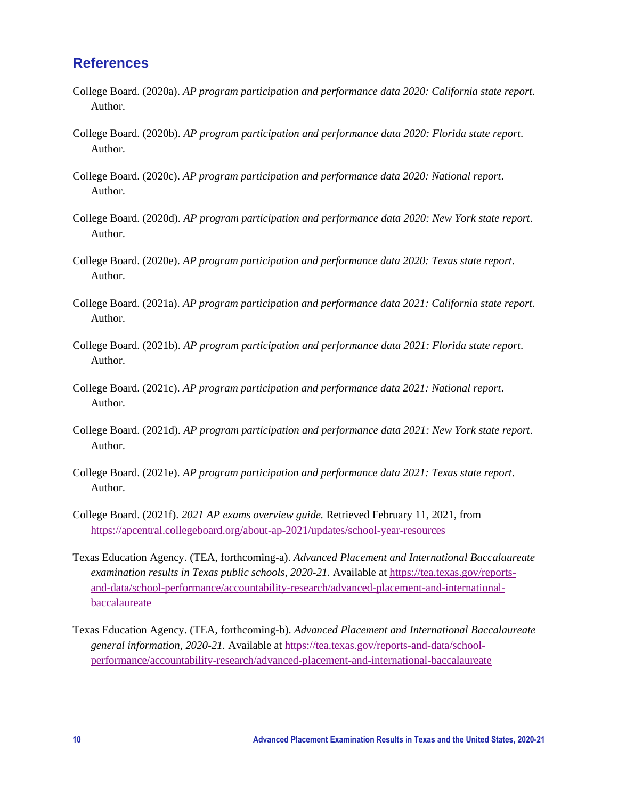## **References**

- College Board. (2020a). *AP program participation and performance data 2020: California state report*. Author.
- College Board. (2020b). *AP program participation and performance data 2020: Florida state report*. Author.
- College Board. (2020c). *AP program participation and performance data 2020: National report*. Author.
- College Board. (2020d). *AP program participation and performance data 2020: New York state report*. Author.
- College Board. (2020e). *AP program participation and performance data 2020: Texas state report*. Author.
- College Board. (2021a). *AP program participation and performance data 2021: California state report*. Author.
- College Board. (2021b). *AP program participation and performance data 2021: Florida state report*. Author.
- College Board. (2021c). *AP program participation and performance data 2021: National report*. Author.
- College Board. (2021d). *AP program participation and performance data 2021: New York state report*. Author.
- College Board. (2021e). *AP program participation and performance data 2021: Texas state report*. Author.
- College Board. (2021f). *2021 AP exams overview guide.* Retrieved February 11, 2021, from <https://apcentral.collegeboard.org/about-ap-2021/updates/school-year-resources>
- Texas Education Agency. (TEA, forthcoming-a). *Advanced Placement and International Baccalaureate examination results in Texas public schools, 2020-21.* Available at [https://tea.texas.gov/reports](https://tea.texas.gov/reports-and-data/school-performance/accountability-research/advanced-placement-and-international-baccalaureate)[and-data/school-performance/accountability-research/advanced-placement-and-international](https://tea.texas.gov/reports-and-data/school-performance/accountability-research/advanced-placement-and-international-baccalaureate)[baccalaureate](https://tea.texas.gov/reports-and-data/school-performance/accountability-research/advanced-placement-and-international-baccalaureate)
- Texas Education Agency. (TEA, forthcoming-b). *Advanced Placement and International Baccalaureate general information, 2020-21.* Available at [https://tea.texas.gov/reports-and-data/school](https://tea.texas.gov/reports-and-data/school-performance/accountability-research/advanced-placement-and-international-baccalaureate)[performance/accountability-research/advanced-placement-and-international-baccalaureate](https://tea.texas.gov/reports-and-data/school-performance/accountability-research/advanced-placement-and-international-baccalaureate)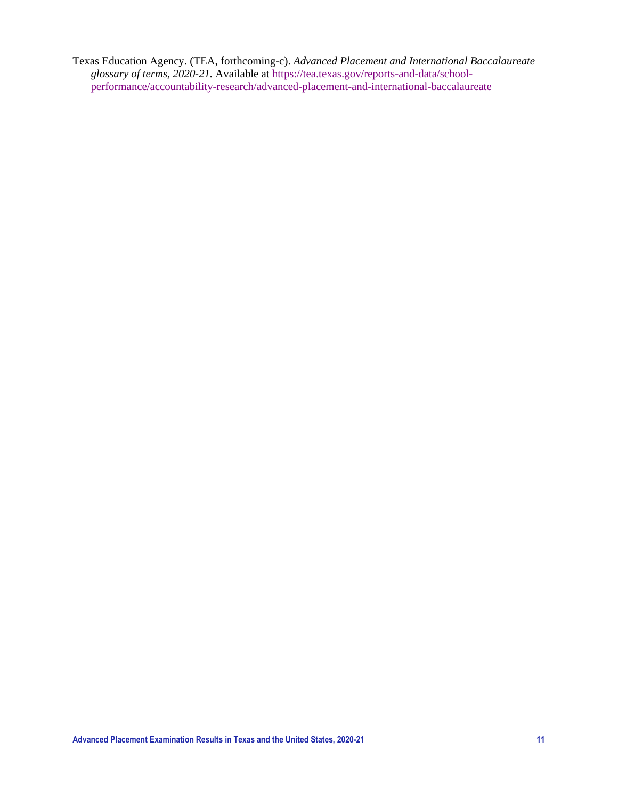Texas Education Agency. (TEA, forthcoming-c). *Advanced Placement and International Baccalaureate glossary of terms, 2020-21.* Available at [https://tea.texas.gov/reports-and-data/school](https://tea.texas.gov/reports-and-data/school-performance/accountability-research/advanced-placement-and-international-baccalaureate)[performance/accountability-research/advanced-placement-and-international-baccalaureate](https://tea.texas.gov/reports-and-data/school-performance/accountability-research/advanced-placement-and-international-baccalaureate)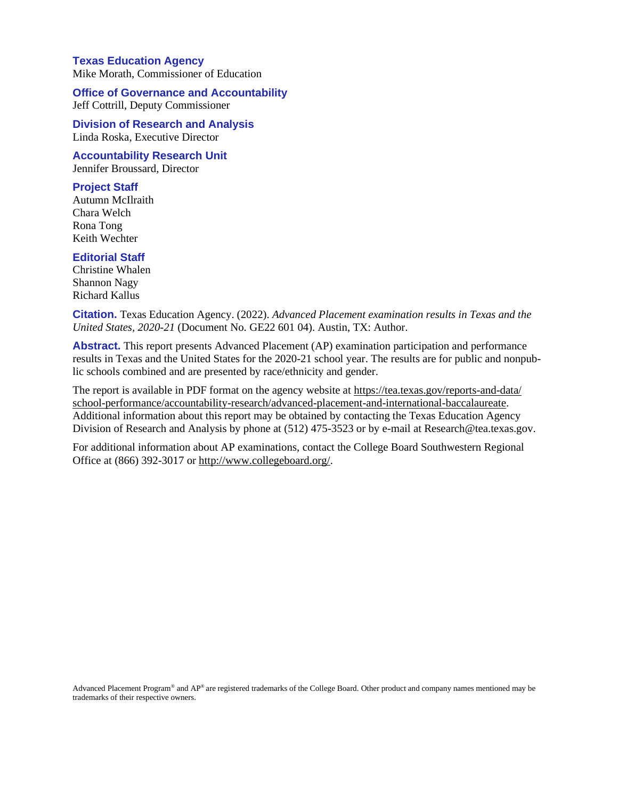#### **Texas Education Agency** Mike Morath, Commissioner of Education

**Office of Governance and Accountability** Jeff Cottrill, Deputy Commissioner

**Division of Research and Analysis** Linda Roska, Executive Director

**Accountability Research Unit** Jennifer Broussard, Director

#### **Project Staff**

Autumn McIlraith Chara Welch Rona Tong Keith Wechter

#### **Editorial Staff**

Christine Whalen Shannon Nagy Richard Kallus

**Citation.** Texas Education Agency. (2022). *Advanced Placement examination results in Texas and the United States, 2020-21* (Document No. GE22 601 04). Austin, TX: Author.

**Abstract.** This report presents Advanced Placement (AP) examination participation and performance results in Texas and the United States for the 2020-21 school year. The results are for public and nonpublic schools combined and are presented by race/ethnicity and gender.

The report is available in PDF format on the agency website at [https://tea.texas.gov/reports-and-data/](https://tea.texas.gov/reports-and-data/school-performance/accountability-research/advanced-placement-and-international-baccalaureate) [school-performance/accountability-research/advanced-placement-and-international-baccalaureate.](https://tea.texas.gov/reports-and-data/school-performance/accountability-research/advanced-placement-and-international-baccalaureate) Additional information about this report may be obtained by contacting the Texas Education Agency Division of Research and Analysis by phone at (512) 475-3523 or by e-mail at [Research@tea.texas.gov.](mailto:Research@tea.texas.gov)

For additional information about AP examinations, contact the College Board Southwestern Regional Office at (866) 392-3017 or [http://www.collegeboard.org/.](http://www.collegeboard.org/)

Advanced Placement Program® and AP® are registered trademarks of the College Board. Other product and company names mentioned may be trademarks of their respective owners.